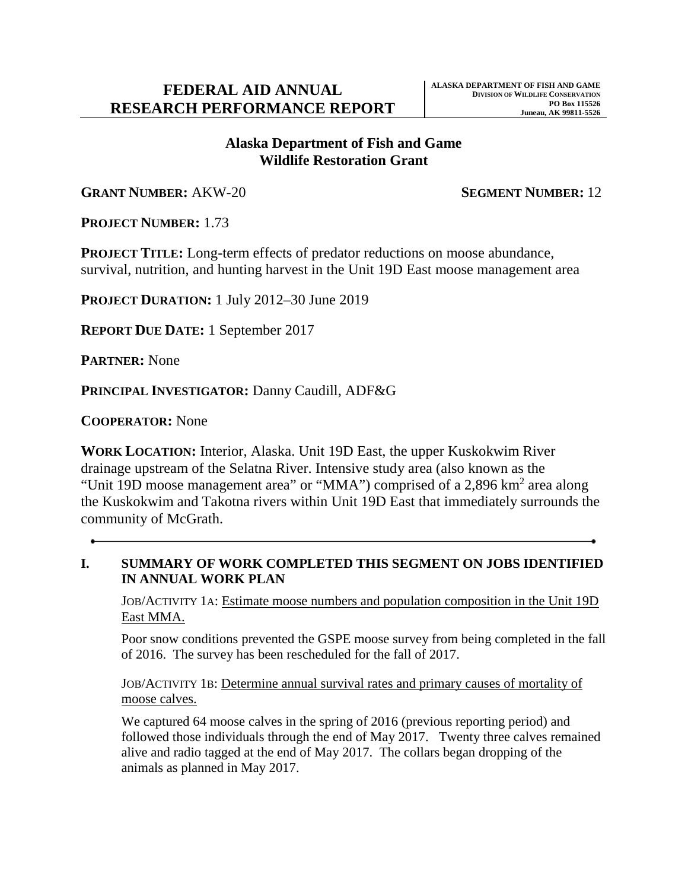## **Alaska Department of Fish and Game Wildlife Restoration Grant**

**GRANT NUMBER:** AKW-20 **SEGMENT NUMBER:** 12

**PROJECT NUMBER:** 1.73

**PROJECT TITLE:** Long-term effects of predator reductions on moose abundance, survival, nutrition, and hunting harvest in the Unit 19D East moose management area

**PROJECT DURATION:** 1 July 2012–30 June 2019

**REPORT DUE DATE:** 1 September 2017

**PARTNER:** None

**PRINCIPAL INVESTIGATOR:** Danny Caudill, ADF&G

**COOPERATOR:** None

**WORK LOCATION:** Interior, Alaska. Unit 19D East, the upper Kuskokwim River drainage upstream of the Selatna River. Intensive study area (also known as the "Unit 19D moose management area" or "MMA") comprised of a 2,896 km<sup>2</sup> area along the Kuskokwim and Takotna rivers within Unit 19D East that immediately surrounds the community of McGrath.

### **I. SUMMARY OF WORK COMPLETED THIS SEGMENT ON JOBS IDENTIFIED IN ANNUAL WORK PLAN**

JOB/ACTIVITY 1A: Estimate moose numbers and population composition in the Unit 19D East MMA.

Poor snow conditions prevented the GSPE moose survey from being completed in the fall of 2016. The survey has been rescheduled for the fall of 2017.

JOB/ACTIVITY 1B: Determine annual survival rates and primary causes of mortality of moose calves.

We captured 64 moose calves in the spring of 2016 (previous reporting period) and followed those individuals through the end of May 2017. Twenty three calves remained alive and radio tagged at the end of May 2017. The collars began dropping of the animals as planned in May 2017.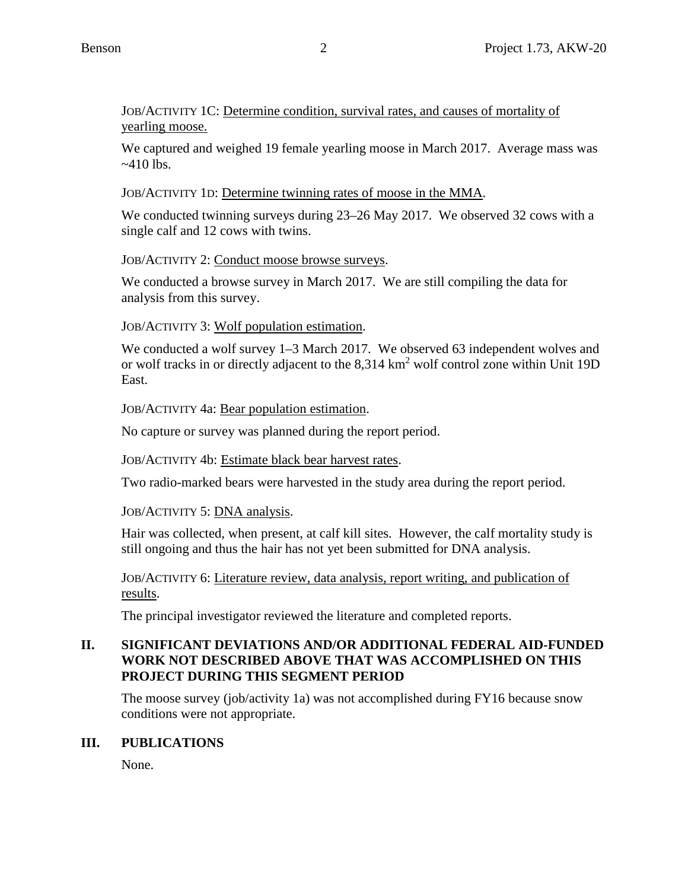JOB/ACTIVITY 1C: Determine condition, survival rates, and causes of mortality of yearling moose.

We captured and weighed 19 female yearling moose in March 2017. Average mass was  $~10 \text{ lbs.}$ 

JOB/ACTIVITY 1D: Determine twinning rates of moose in the MMA.

We conducted twinning surveys during 23–26 May 2017. We observed 32 cows with a single calf and 12 cows with twins.

JOB/ACTIVITY 2: Conduct moose browse surveys.

We conducted a browse survey in March 2017. We are still compiling the data for analysis from this survey.

JOB/ACTIVITY 3: Wolf population estimation.

We conducted a wolf survey 1–3 March 2017. We observed 63 independent wolves and or wolf tracks in or directly adjacent to the  $8,314 \text{ km}^2$  wolf control zone within Unit 19D East.

JOB/ACTIVITY 4a: Bear population estimation.

No capture or survey was planned during the report period.

JOB/ACTIVITY 4b: Estimate black bear harvest rates.

Two radio-marked bears were harvested in the study area during the report period.

JOB/ACTIVITY 5: DNA analysis.

Hair was collected, when present, at calf kill sites. However, the calf mortality study is still ongoing and thus the hair has not yet been submitted for DNA analysis.

JOB/ACTIVITY 6: Literature review, data analysis, report writing, and publication of results.

The principal investigator reviewed the literature and completed reports.

#### **II. SIGNIFICANT DEVIATIONS AND/OR ADDITIONAL FEDERAL AID-FUNDED WORK NOT DESCRIBED ABOVE THAT WAS ACCOMPLISHED ON THIS PROJECT DURING THIS SEGMENT PERIOD**

The moose survey (job/activity 1a) was not accomplished during FY16 because snow conditions were not appropriate.

#### **III. PUBLICATIONS**

None.